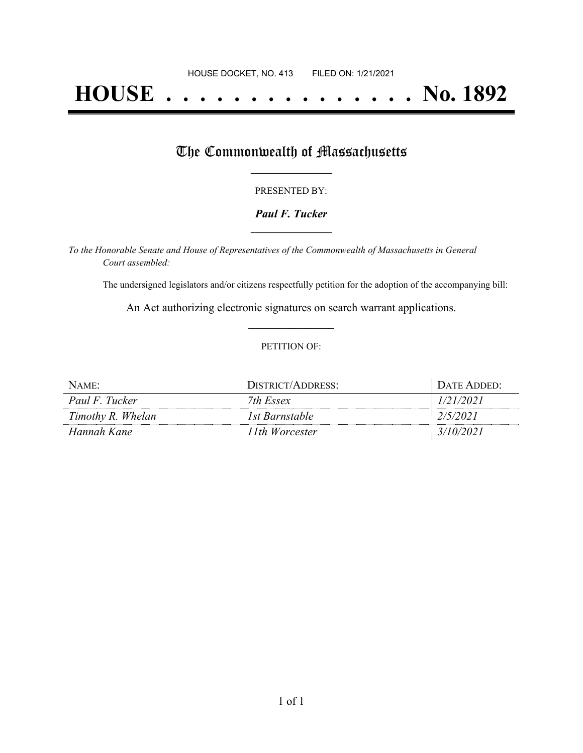# **HOUSE . . . . . . . . . . . . . . . No. 1892**

## The Commonwealth of Massachusetts

#### PRESENTED BY:

#### *Paul F. Tucker* **\_\_\_\_\_\_\_\_\_\_\_\_\_\_\_\_\_**

*To the Honorable Senate and House of Representatives of the Commonwealth of Massachusetts in General Court assembled:*

The undersigned legislators and/or citizens respectfully petition for the adoption of the accompanying bill:

An Act authorizing electronic signatures on search warrant applications. **\_\_\_\_\_\_\_\_\_\_\_\_\_\_\_**

#### PETITION OF:

| $NAME$ :          | DISTRICT/ADDRESS: | DATE ADDED: |
|-------------------|-------------------|-------------|
| Paul F. Tucker    | 7th Essex         | 1/21/2021   |
| Timothy R. Whelan | 1st Barnstable    | 2/5/2021    |
| Hannah Kane       | 11th Worcester    | 3/10/2021   |